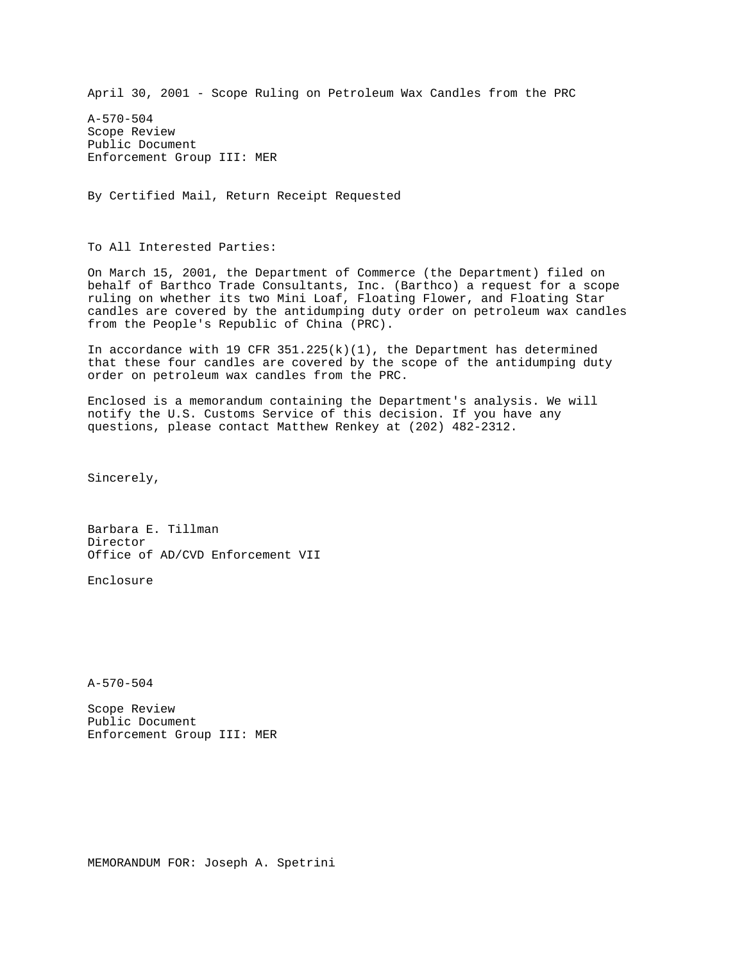April 30, 2001 - Scope Ruling on Petroleum Wax Candles from the PRC

A-570-504 Scope Review Public Document Enforcement Group III: MER

By Certified Mail, Return Receipt Requested

To All Interested Parties:

On March 15, 2001, the Department of Commerce (the Department) filed on behalf of Barthco Trade Consultants, Inc. (Barthco) a request for a scope ruling on whether its two Mini Loaf, Floating Flower, and Floating Star candles are covered by the antidumping duty order on petroleum wax candles from the People's Republic of China (PRC).

In accordance with 19 CFR  $351.225(k)(1)$ , the Department has determined that these four candles are covered by the scope of the antidumping duty order on petroleum wax candles from the PRC.

Enclosed is a memorandum containing the Department's analysis. We will notify the U.S. Customs Service of this decision. If you have any questions, please contact Matthew Renkey at (202) 482-2312.

Sincerely,

Barbara E. Tillman Director Office of AD/CVD Enforcement VII

Enclosure

A-570-504

Scope Review Public Document Enforcement Group III: MER

MEMORANDUM FOR: Joseph A. Spetrini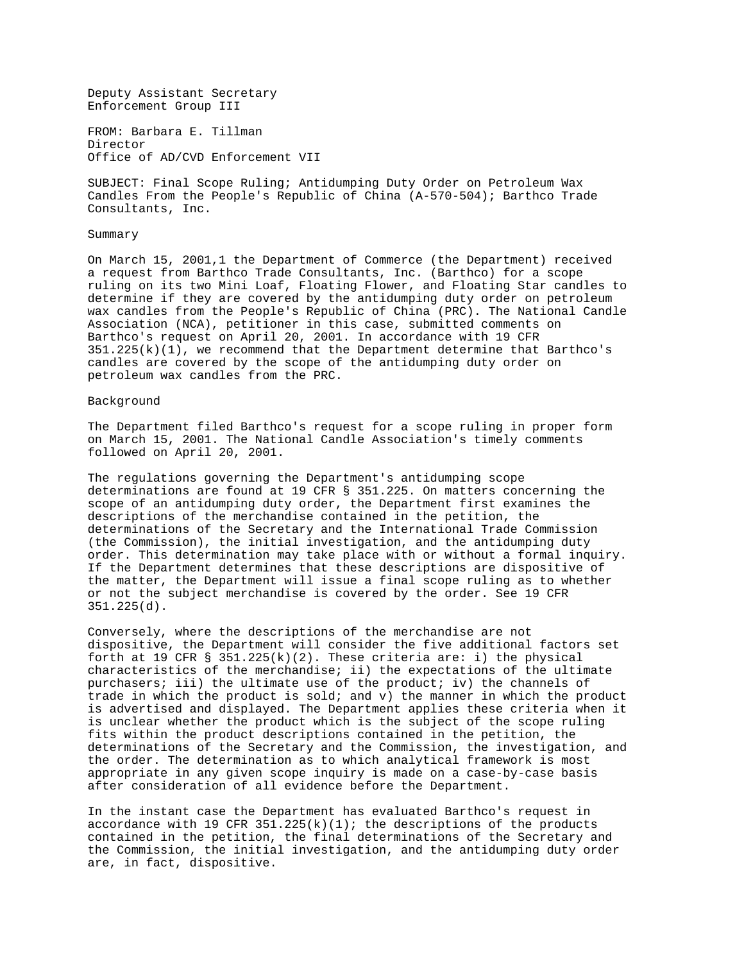Deputy Assistant Secretary Enforcement Group III

FROM: Barbara E. Tillman Director Office of AD/CVD Enforcement VII

SUBJECT: Final Scope Ruling; Antidumping Duty Order on Petroleum Wax Candles From the People's Republic of China (A-570-504); Barthco Trade Consultants, Inc.

## Summary

On March 15, 2001,1 the Department of Commerce (the Department) received a request from Barthco Trade Consultants, Inc. (Barthco) for a scope ruling on its two Mini Loaf, Floating Flower, and Floating Star candles to determine if they are covered by the antidumping duty order on petroleum wax candles from the People's Republic of China (PRC). The National Candle Association (NCA), petitioner in this case, submitted comments on Barthco's request on April 20, 2001. In accordance with 19 CFR  $351.225(k)(1)$ , we recommend that the Department determine that Barthco's candles are covered by the scope of the antidumping duty order on petroleum wax candles from the PRC.

## Background

The Department filed Barthco's request for a scope ruling in proper form on March 15, 2001. The National Candle Association's timely comments followed on April 20, 2001.

The regulations governing the Department's antidumping scope determinations are found at 19 CFR § 351.225. On matters concerning the scope of an antidumping duty order, the Department first examines the descriptions of the merchandise contained in the petition, the determinations of the Secretary and the International Trade Commission (the Commission), the initial investigation, and the antidumping duty order. This determination may take place with or without a formal inquiry. If the Department determines that these descriptions are dispositive of the matter, the Department will issue a final scope ruling as to whether or not the subject merchandise is covered by the order. See 19 CFR 351.225(d).

Conversely, where the descriptions of the merchandise are not dispositive, the Department will consider the five additional factors set forth at 19 CFR § 351.225(k)(2). These criteria are: i) the physical characteristics of the merchandise; ii) the expectations of the ultimate purchasers; iii) the ultimate use of the product; iv) the channels of trade in which the product is sold; and v) the manner in which the product is advertised and displayed. The Department applies these criteria when it is unclear whether the product which is the subject of the scope ruling fits within the product descriptions contained in the petition, the determinations of the Secretary and the Commission, the investigation, and the order. The determination as to which analytical framework is most appropriate in any given scope inquiry is made on a case-by-case basis after consideration of all evidence before the Department.

In the instant case the Department has evaluated Barthco's request in accordance with 19 CFR  $351.225(k)(1)$ ; the descriptions of the products contained in the petition, the final determinations of the Secretary and the Commission, the initial investigation, and the antidumping duty order are, in fact, dispositive.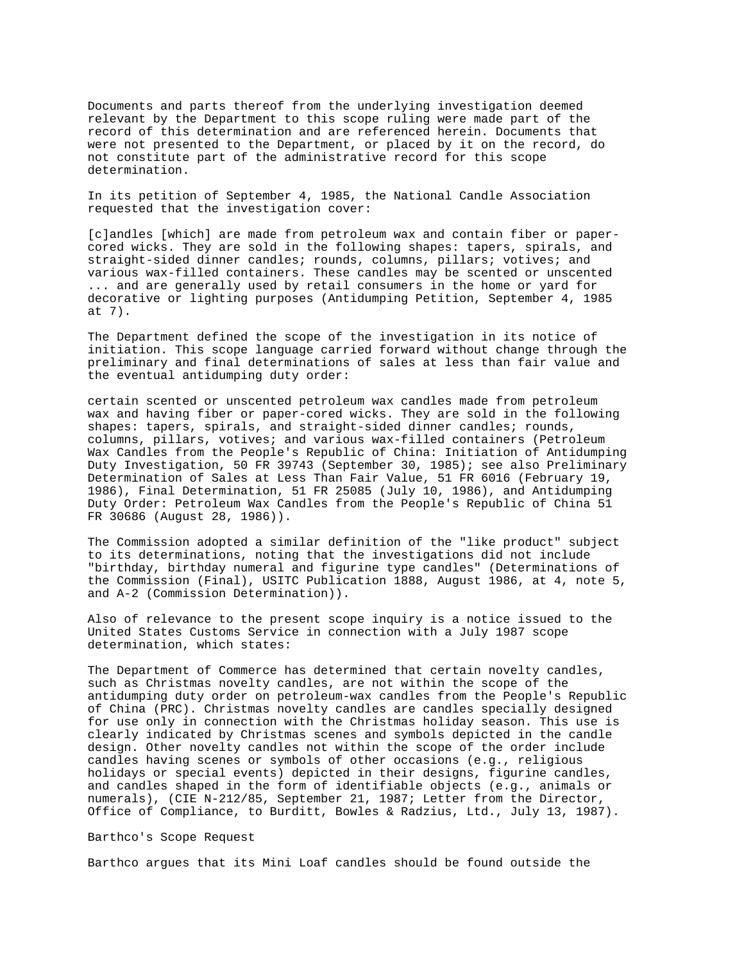Documents and parts thereof from the underlying investigation deemed relevant by the Department to this scope ruling were made part of the record of this determination and are referenced herein. Documents that were not presented to the Department, or placed by it on the record, do not constitute part of the administrative record for this scope determination.

In its petition of September 4, 1985, the National Candle Association requested that the investigation cover:

[c]andles [which] are made from petroleum wax and contain fiber or papercored wicks. They are sold in the following shapes: tapers, spirals, and straight-sided dinner candles; rounds, columns, pillars; votives; and various wax-filled containers. These candles may be scented or unscented ... and are generally used by retail consumers in the home or yard for decorative or lighting purposes (Antidumping Petition, September 4, 1985 at 7).

The Department defined the scope of the investigation in its notice of initiation. This scope language carried forward without change through the preliminary and final determinations of sales at less than fair value and the eventual antidumping duty order:

certain scented or unscented petroleum wax candles made from petroleum wax and having fiber or paper-cored wicks. They are sold in the following shapes: tapers, spirals, and straight-sided dinner candles; rounds, columns, pillars, votives; and various wax-filled containers (Petroleum Wax Candles from the People's Republic of China: Initiation of Antidumping Duty Investigation, 50 FR 39743 (September 30, 1985); see also Preliminary Determination of Sales at Less Than Fair Value, 51 FR 6016 (February 19, 1986), Final Determination, 51 FR 25085 (July 10, 1986), and Antidumping Duty Order: Petroleum Wax Candles from the People's Republic of China 51 FR 30686 (August 28, 1986)).

The Commission adopted a similar definition of the "like product" subject to its determinations, noting that the investigations did not include "birthday, birthday numeral and figurine type candles" (Determinations of the Commission (Final), USITC Publication 1888, August 1986, at 4, note 5, and A-2 (Commission Determination)).

Also of relevance to the present scope inquiry is a notice issued to the United States Customs Service in connection with a July 1987 scope determination, which states:

The Department of Commerce has determined that certain novelty candles, such as Christmas novelty candles, are not within the scope of the antidumping duty order on petroleum-wax candles from the People's Republic of China (PRC). Christmas novelty candles are candles specially designed for use only in connection with the Christmas holiday season. This use is clearly indicated by Christmas scenes and symbols depicted in the candle design. Other novelty candles not within the scope of the order include candles having scenes or symbols of other occasions (e.g., religious holidays or special events) depicted in their designs, figurine candles, and candles shaped in the form of identifiable objects (e.g., animals or numerals), (CIE N-212/85, September 21, 1987; Letter from the Director, Office of Compliance, to Burditt, Bowles & Radzius, Ltd., July 13, 1987).

Barthco's Scope Request

Barthco argues that its Mini Loaf candles should be found outside the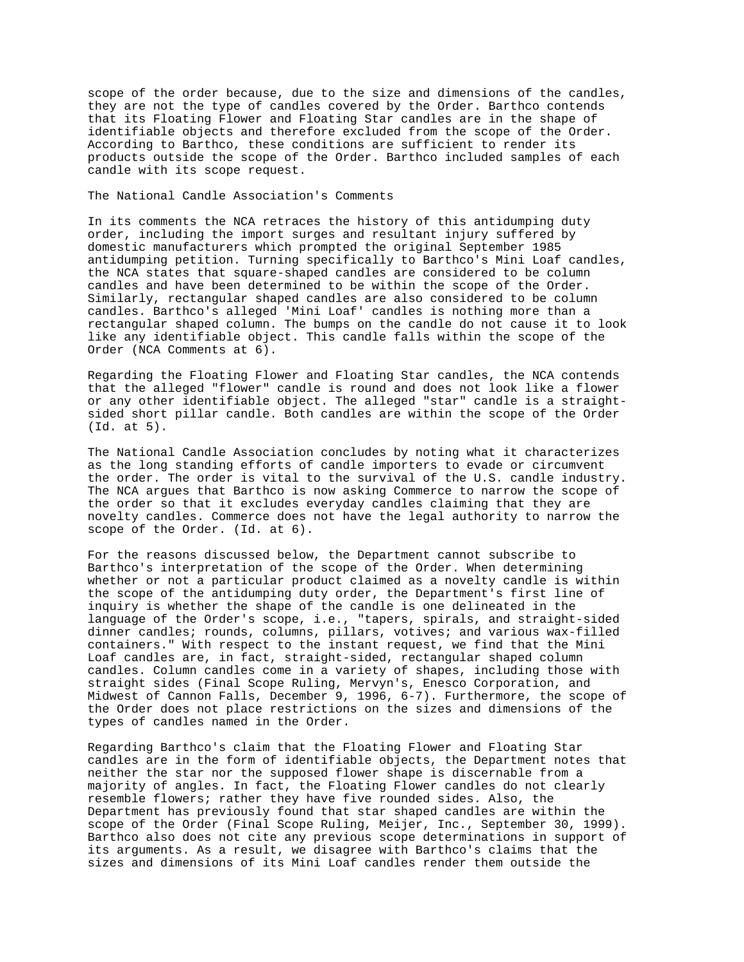scope of the order because, due to the size and dimensions of the candles, they are not the type of candles covered by the Order. Barthco contends that its Floating Flower and Floating Star candles are in the shape of identifiable objects and therefore excluded from the scope of the Order. According to Barthco, these conditions are sufficient to render its products outside the scope of the Order. Barthco included samples of each candle with its scope request.

## The National Candle Association's Comments

In its comments the NCA retraces the history of this antidumping duty order, including the import surges and resultant injury suffered by domestic manufacturers which prompted the original September 1985 antidumping petition. Turning specifically to Barthco's Mini Loaf candles, the NCA states that square-shaped candles are considered to be column candles and have been determined to be within the scope of the Order. Similarly, rectangular shaped candles are also considered to be column candles. Barthco's alleged 'Mini Loaf' candles is nothing more than a rectangular shaped column. The bumps on the candle do not cause it to look like any identifiable object. This candle falls within the scope of the Order (NCA Comments at 6).

Regarding the Floating Flower and Floating Star candles, the NCA contends that the alleged "flower" candle is round and does not look like a flower or any other identifiable object. The alleged "star" candle is a straightsided short pillar candle. Both candles are within the scope of the Order (Id. at 5).

The National Candle Association concludes by noting what it characterizes as the long standing efforts of candle importers to evade or circumvent the order. The order is vital to the survival of the U.S. candle industry. The NCA argues that Barthco is now asking Commerce to narrow the scope of the order so that it excludes everyday candles claiming that they are novelty candles. Commerce does not have the legal authority to narrow the scope of the Order. (Id. at 6).

For the reasons discussed below, the Department cannot subscribe to Barthco's interpretation of the scope of the Order. When determining whether or not a particular product claimed as a novelty candle is within the scope of the antidumping duty order, the Department's first line of inquiry is whether the shape of the candle is one delineated in the language of the Order's scope, i.e., "tapers, spirals, and straight-sided dinner candles; rounds, columns, pillars, votives; and various wax-filled containers." With respect to the instant request, we find that the Mini Loaf candles are, in fact, straight-sided, rectangular shaped column candles. Column candles come in a variety of shapes, including those with straight sides (Final Scope Ruling, Mervyn's, Enesco Corporation, and Midwest of Cannon Falls, December 9, 1996, 6-7). Furthermore, the scope of the Order does not place restrictions on the sizes and dimensions of the types of candles named in the Order.

Regarding Barthco's claim that the Floating Flower and Floating Star candles are in the form of identifiable objects, the Department notes that neither the star nor the supposed flower shape is discernable from a majority of angles. In fact, the Floating Flower candles do not clearly resemble flowers; rather they have five rounded sides. Also, the Department has previously found that star shaped candles are within the scope of the Order (Final Scope Ruling, Meijer, Inc., September 30, 1999). Barthco also does not cite any previous scope determinations in support of its arguments. As a result, we disagree with Barthco's claims that the sizes and dimensions of its Mini Loaf candles render them outside the